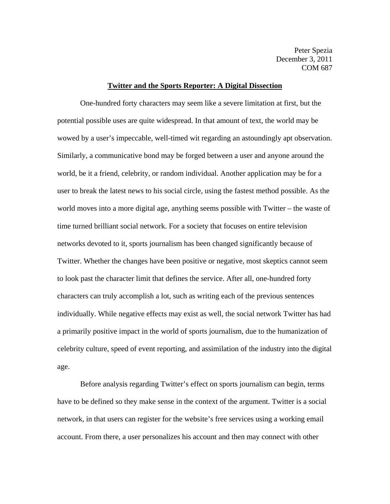Peter Spezia December 3, 2011 COM 687

## **Twitter and the Sports Reporter: A Digital Dissection**

 One-hundred forty characters may seem like a severe limitation at first, but the potential possible uses are quite widespread. In that amount of text, the world may be wowed by a user's impeccable, well-timed wit regarding an astoundingly apt observation. Similarly, a communicative bond may be forged between a user and anyone around the world, be it a friend, celebrity, or random individual. Another application may be for a user to break the latest news to his social circle, using the fastest method possible. As the world moves into a more digital age, anything seems possible with Twitter – the waste of time turned brilliant social network. For a society that focuses on entire television networks devoted to it, sports journalism has been changed significantly because of Twitter. Whether the changes have been positive or negative, most skeptics cannot seem to look past the character limit that defines the service. After all, one-hundred forty characters can truly accomplish a lot, such as writing each of the previous sentences individually. While negative effects may exist as well, the social network Twitter has had a primarily positive impact in the world of sports journalism, due to the humanization of celebrity culture, speed of event reporting, and assimilation of the industry into the digital age.

 Before analysis regarding Twitter's effect on sports journalism can begin, terms have to be defined so they make sense in the context of the argument. Twitter is a social network, in that users can register for the website's free services using a working email account. From there, a user personalizes his account and then may connect with other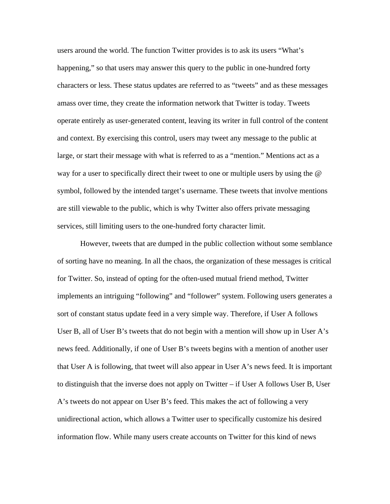users around the world. The function Twitter provides is to ask its users "What's happening," so that users may answer this query to the public in one-hundred forty characters or less. These status updates are referred to as "tweets" and as these messages amass over time, they create the information network that Twitter is today. Tweets operate entirely as user-generated content, leaving its writer in full control of the content and context. By exercising this control, users may tweet any message to the public at large, or start their message with what is referred to as a "mention." Mentions act as a way for a user to specifically direct their tweet to one or multiple users by using the @ symbol, followed by the intended target's username. These tweets that involve mentions are still viewable to the public, which is why Twitter also offers private messaging services, still limiting users to the one-hundred forty character limit.

 However, tweets that are dumped in the public collection without some semblance of sorting have no meaning. In all the chaos, the organization of these messages is critical for Twitter. So, instead of opting for the often-used mutual friend method, Twitter implements an intriguing "following" and "follower" system. Following users generates a sort of constant status update feed in a very simple way. Therefore, if User A follows User B, all of User B's tweets that do not begin with a mention will show up in User  $A$ 's news feed. Additionally, if one of User B's tweets begins with a mention of another user that User A is following, that tweet will also appear in User A's news feed. It is important to distinguish that the inverse does not apply on Twitter – if User A follows User B, User A's tweets do not appear on User B's feed. This makes the act of following a very unidirectional action, which allows a Twitter user to specifically customize his desired information flow. While many users create accounts on Twitter for this kind of news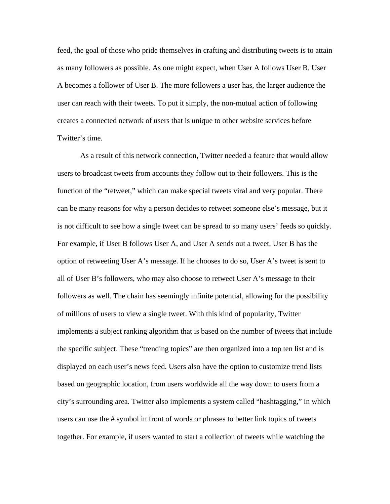feed, the goal of those who pride themselves in crafting and distributing tweets is to attain as many followers as possible. As one might expect, when User A follows User B, User A becomes a follower of User B. The more followers a user has, the larger audience the user can reach with their tweets. To put it simply, the non-mutual action of following creates a connected network of users that is unique to other website services before Twitter's time.

 As a result of this network connection, Twitter needed a feature that would allow users to broadcast tweets from accounts they follow out to their followers. This is the function of the "retweet," which can make special tweets viral and very popular. There can be many reasons for why a person decides to retweet someone else's message, but it is not difficult to see how a single tweet can be spread to so many users' feeds so quickly. For example, if User B follows User A, and User A sends out a tweet, User B has the option of retweeting User A's message. If he chooses to do so, User A's tweet is sent to all of User B's followers, who may also choose to retweet User A's message to their followers as well. The chain has seemingly infinite potential, allowing for the possibility of millions of users to view a single tweet. With this kind of popularity, Twitter implements a subject ranking algorithm that is based on the number of tweets that include the specific subject. These "trending topics" are then organized into a top ten list and is displayed on each user's news feed. Users also have the option to customize trend lists based on geographic location, from users worldwide all the way down to users from a city's surrounding area. Twitter also implements a system called "hashtagging," in which users can use the # symbol in front of words or phrases to better link topics of tweets together. For example, if users wanted to start a collection of tweets while watching the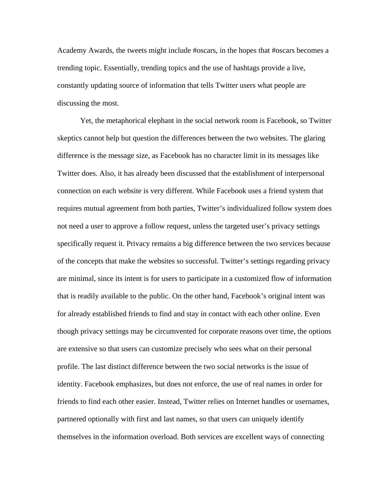Academy Awards, the tweets might include #oscars, in the hopes that #oscars becomes a trending topic. Essentially, trending topics and the use of hashtags provide a live, constantly updating source of information that tells Twitter users what people are discussing the most.

 Yet, the metaphorical elephant in the social network room is Facebook, so Twitter skeptics cannot help but question the differences between the two websites. The glaring difference is the message size, as Facebook has no character limit in its messages like Twitter does. Also, it has already been discussed that the establishment of interpersonal connection on each website is very different. While Facebook uses a friend system that requires mutual agreement from both parties, Twitter's individualized follow system does not need a user to approve a follow request, unless the targeted user's privacy settings specifically request it. Privacy remains a big difference between the two services because of the concepts that make the websites so successful. Twitter's settings regarding privacy are minimal, since its intent is for users to participate in a customized flow of information that is readily available to the public. On the other hand, Facebook's original intent was for already established friends to find and stay in contact with each other online. Even though privacy settings may be circumvented for corporate reasons over time, the options are extensive so that users can customize precisely who sees what on their personal profile. The last distinct difference between the two social networks is the issue of identity. Facebook emphasizes, but does not enforce, the use of real names in order for friends to find each other easier. Instead, Twitter relies on Internet handles or usernames, partnered optionally with first and last names, so that users can uniquely identify themselves in the information overload. Both services are excellent ways of connecting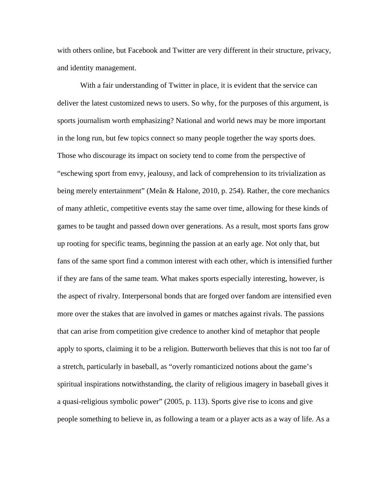with others online, but Facebook and Twitter are very different in their structure, privacy, and identity management.

 With a fair understanding of Twitter in place, it is evident that the service can deliver the latest customized news to users. So why, for the purposes of this argument, is sports journalism worth emphasizing? National and world news may be more important in the long run, but few topics connect so many people together the way sports does. Those who discourage its impact on society tend to come from the perspective of "eschewing sport from envy, jealousy, and lack of comprehension to its trivialization as being merely entertainment" (Meân & Halone, 2010, p. 254). Rather, the core mechanics of many athletic, competitive events stay the same over time, allowing for these kinds of games to be taught and passed down over generations. As a result, most sports fans grow up rooting for specific teams, beginning the passion at an early age. Not only that, but fans of the same sport find a common interest with each other, which is intensified further if they are fans of the same team. What makes sports especially interesting, however, is the aspect of rivalry. Interpersonal bonds that are forged over fandom are intensified even more over the stakes that are involved in games or matches against rivals. The passions that can arise from competition give credence to another kind of metaphor that people apply to sports, claiming it to be a religion. Butterworth believes that this is not too far of a stretch, particularly in baseball, as "overly romanticized notions about the game's spiritual inspirations notwithstanding, the clarity of religious imagery in baseball gives it a quasi-religious symbolic power" (2005, p. 113). Sports give rise to icons and give people something to believe in, as following a team or a player acts as a way of life. As a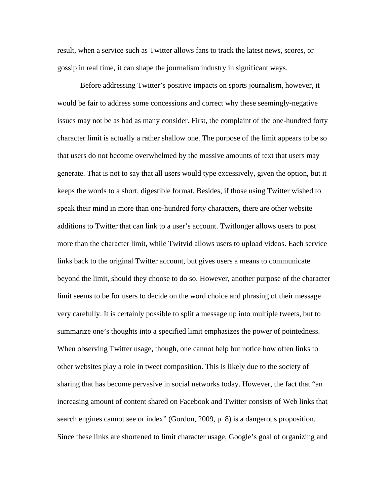result, when a service such as Twitter allows fans to track the latest news, scores, or gossip in real time, it can shape the journalism industry in significant ways.

 Before addressing Twitter's positive impacts on sports journalism, however, it would be fair to address some concessions and correct why these seemingly-negative issues may not be as bad as many consider. First, the complaint of the one-hundred forty character limit is actually a rather shallow one. The purpose of the limit appears to be so that users do not become overwhelmed by the massive amounts of text that users may generate. That is not to say that all users would type excessively, given the option, but it keeps the words to a short, digestible format. Besides, if those using Twitter wished to speak their mind in more than one-hundred forty characters, there are other website additions to Twitter that can link to a user's account. Twitlonger allows users to post more than the character limit, while Twitvid allows users to upload videos. Each service links back to the original Twitter account, but gives users a means to communicate beyond the limit, should they choose to do so. However, another purpose of the character limit seems to be for users to decide on the word choice and phrasing of their message very carefully. It is certainly possible to split a message up into multiple tweets, but to summarize one's thoughts into a specified limit emphasizes the power of pointedness. When observing Twitter usage, though, one cannot help but notice how often links to other websites play a role in tweet composition. This is likely due to the society of sharing that has become pervasive in social networks today. However, the fact that "an increasing amount of content shared on Facebook and Twitter consists of Web links that search engines cannot see or index" (Gordon, 2009, p. 8) is a dangerous proposition. Since these links are shortened to limit character usage, Google's goal of organizing and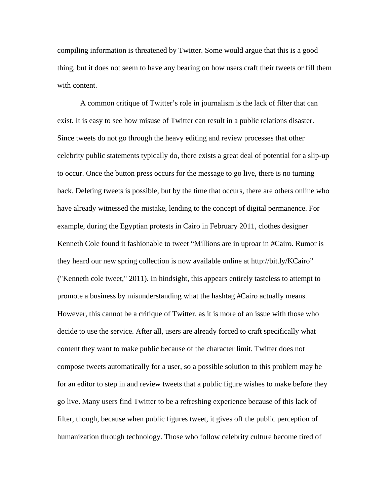compiling information is threatened by Twitter. Some would argue that this is a good thing, but it does not seem to have any bearing on how users craft their tweets or fill them with content.

 A common critique of Twitter's role in journalism is the lack of filter that can exist. It is easy to see how misuse of Twitter can result in a public relations disaster. Since tweets do not go through the heavy editing and review processes that other celebrity public statements typically do, there exists a great deal of potential for a slip-up to occur. Once the button press occurs for the message to go live, there is no turning back. Deleting tweets is possible, but by the time that occurs, there are others online who have already witnessed the mistake, lending to the concept of digital permanence. For example, during the Egyptian protests in Cairo in February 2011, clothes designer Kenneth Cole found it fashionable to tweet "Millions are in uproar in #Cairo. Rumor is they heard our new spring collection is now available online at http://bit.ly/KCairo" ("Kenneth cole tweet," 2011). In hindsight, this appears entirely tasteless to attempt to promote a business by misunderstanding what the hashtag #Cairo actually means. However, this cannot be a critique of Twitter, as it is more of an issue with those who decide to use the service. After all, users are already forced to craft specifically what content they want to make public because of the character limit. Twitter does not compose tweets automatically for a user, so a possible solution to this problem may be for an editor to step in and review tweets that a public figure wishes to make before they go live. Many users find Twitter to be a refreshing experience because of this lack of filter, though, because when public figures tweet, it gives off the public perception of humanization through technology. Those who follow celebrity culture become tired of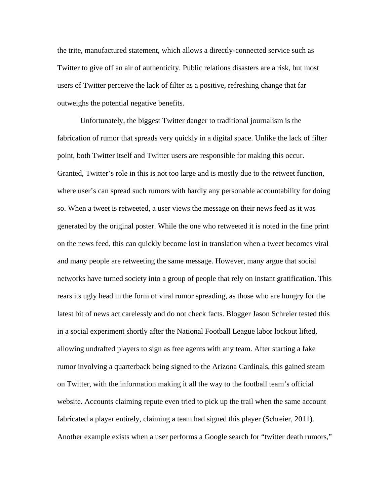the trite, manufactured statement, which allows a directly-connected service such as Twitter to give off an air of authenticity. Public relations disasters are a risk, but most users of Twitter perceive the lack of filter as a positive, refreshing change that far outweighs the potential negative benefits.

 Unfortunately, the biggest Twitter danger to traditional journalism is the fabrication of rumor that spreads very quickly in a digital space. Unlike the lack of filter point, both Twitter itself and Twitter users are responsible for making this occur. Granted, Twitter's role in this is not too large and is mostly due to the retweet function, where user's can spread such rumors with hardly any personable accountability for doing so. When a tweet is retweeted, a user views the message on their news feed as it was generated by the original poster. While the one who retweeted it is noted in the fine print on the news feed, this can quickly become lost in translation when a tweet becomes viral and many people are retweeting the same message. However, many argue that social networks have turned society into a group of people that rely on instant gratification. This rears its ugly head in the form of viral rumor spreading, as those who are hungry for the latest bit of news act carelessly and do not check facts. Blogger Jason Schreier tested this in a social experiment shortly after the National Football League labor lockout lifted, allowing undrafted players to sign as free agents with any team. After starting a fake rumor involving a quarterback being signed to the Arizona Cardinals, this gained steam on Twitter, with the information making it all the way to the football team's official website. Accounts claiming repute even tried to pick up the trail when the same account fabricated a player entirely, claiming a team had signed this player (Schreier, 2011). Another example exists when a user performs a Google search for "twitter death rumors,"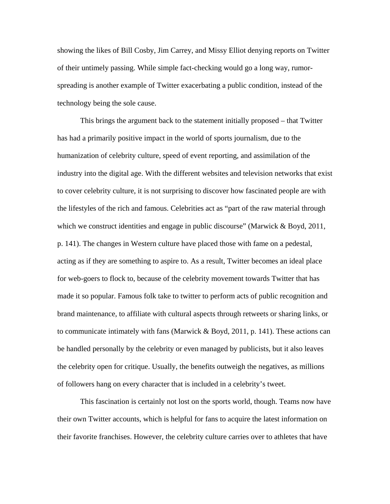showing the likes of Bill Cosby, Jim Carrey, and Missy Elliot denying reports on Twitter of their untimely passing. While simple fact-checking would go a long way, rumorspreading is another example of Twitter exacerbating a public condition, instead of the technology being the sole cause.

 This brings the argument back to the statement initially proposed – that Twitter has had a primarily positive impact in the world of sports journalism, due to the humanization of celebrity culture, speed of event reporting, and assimilation of the industry into the digital age. With the different websites and television networks that exist to cover celebrity culture, it is not surprising to discover how fascinated people are with the lifestyles of the rich and famous. Celebrities act as "part of the raw material through which we construct identities and engage in public discourse" (Marwick & Boyd, 2011, p. 141). The changes in Western culture have placed those with fame on a pedestal, acting as if they are something to aspire to. As a result, Twitter becomes an ideal place for web-goers to flock to, because of the celebrity movement towards Twitter that has made it so popular. Famous folk take to twitter to perform acts of public recognition and brand maintenance, to affiliate with cultural aspects through retweets or sharing links, or to communicate intimately with fans (Marwick & Boyd, 2011, p. 141). These actions can be handled personally by the celebrity or even managed by publicists, but it also leaves the celebrity open for critique. Usually, the benefits outweigh the negatives, as millions of followers hang on every character that is included in a celebrity's tweet.

 This fascination is certainly not lost on the sports world, though. Teams now have their own Twitter accounts, which is helpful for fans to acquire the latest information on their favorite franchises. However, the celebrity culture carries over to athletes that have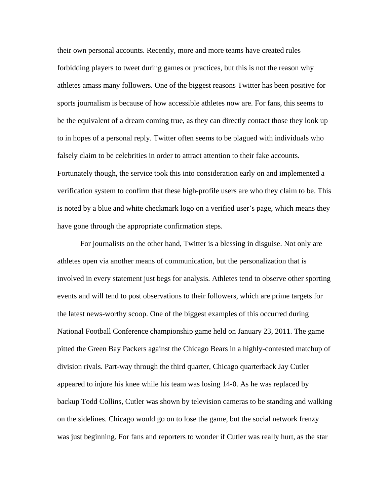their own personal accounts. Recently, more and more teams have created rules forbidding players to tweet during games or practices, but this is not the reason why athletes amass many followers. One of the biggest reasons Twitter has been positive for sports journalism is because of how accessible athletes now are. For fans, this seems to be the equivalent of a dream coming true, as they can directly contact those they look up to in hopes of a personal reply. Twitter often seems to be plagued with individuals who falsely claim to be celebrities in order to attract attention to their fake accounts. Fortunately though, the service took this into consideration early on and implemented a verification system to confirm that these high-profile users are who they claim to be. This is noted by a blue and white checkmark logo on a verified user's page, which means they have gone through the appropriate confirmation steps.

 For journalists on the other hand, Twitter is a blessing in disguise. Not only are athletes open via another means of communication, but the personalization that is involved in every statement just begs for analysis. Athletes tend to observe other sporting events and will tend to post observations to their followers, which are prime targets for the latest news-worthy scoop. One of the biggest examples of this occurred during National Football Conference championship game held on January 23, 2011. The game pitted the Green Bay Packers against the Chicago Bears in a highly-contested matchup of division rivals. Part-way through the third quarter, Chicago quarterback Jay Cutler appeared to injure his knee while his team was losing 14-0. As he was replaced by backup Todd Collins, Cutler was shown by television cameras to be standing and walking on the sidelines. Chicago would go on to lose the game, but the social network frenzy was just beginning. For fans and reporters to wonder if Cutler was really hurt, as the star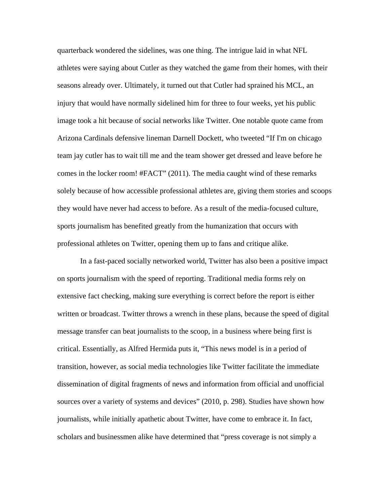quarterback wondered the sidelines, was one thing. The intrigue laid in what NFL athletes were saying about Cutler as they watched the game from their homes, with their seasons already over. Ultimately, it turned out that Cutler had sprained his MCL, an injury that would have normally sidelined him for three to four weeks, yet his public image took a hit because of social networks like Twitter. One notable quote came from Arizona Cardinals defensive lineman Darnell Dockett, who tweeted "If I'm on chicago team jay cutler has to wait till me and the team shower get dressed and leave before he comes in the locker room! #FACT" (2011). The media caught wind of these remarks solely because of how accessible professional athletes are, giving them stories and scoops they would have never had access to before. As a result of the media-focused culture, sports journalism has benefited greatly from the humanization that occurs with professional athletes on Twitter, opening them up to fans and critique alike.

 In a fast-paced socially networked world, Twitter has also been a positive impact on sports journalism with the speed of reporting. Traditional media forms rely on extensive fact checking, making sure everything is correct before the report is either written or broadcast. Twitter throws a wrench in these plans, because the speed of digital message transfer can beat journalists to the scoop, in a business where being first is critical. Essentially, as Alfred Hermida puts it, "This news model is in a period of transition, however, as social media technologies like Twitter facilitate the immediate dissemination of digital fragments of news and information from official and unofficial sources over a variety of systems and devices" (2010, p. 298). Studies have shown how journalists, while initially apathetic about Twitter, have come to embrace it. In fact, scholars and businessmen alike have determined that "press coverage is not simply a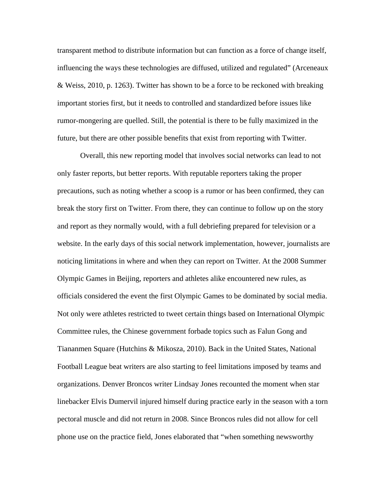transparent method to distribute information but can function as a force of change itself, influencing the ways these technologies are diffused, utilized and regulated" (Arceneaux & Weiss, 2010, p. 1263). Twitter has shown to be a force to be reckoned with breaking important stories first, but it needs to controlled and standardized before issues like rumor-mongering are quelled. Still, the potential is there to be fully maximized in the future, but there are other possible benefits that exist from reporting with Twitter.

 Overall, this new reporting model that involves social networks can lead to not only faster reports, but better reports. With reputable reporters taking the proper precautions, such as noting whether a scoop is a rumor or has been confirmed, they can break the story first on Twitter. From there, they can continue to follow up on the story and report as they normally would, with a full debriefing prepared for television or a website. In the early days of this social network implementation, however, journalists are noticing limitations in where and when they can report on Twitter. At the 2008 Summer Olympic Games in Beijing, reporters and athletes alike encountered new rules, as officials considered the event the first Olympic Games to be dominated by social media. Not only were athletes restricted to tweet certain things based on International Olympic Committee rules, the Chinese government forbade topics such as Falun Gong and Tiananmen Square (Hutchins & Mikosza, 2010). Back in the United States, National Football League beat writers are also starting to feel limitations imposed by teams and organizations. Denver Broncos writer Lindsay Jones recounted the moment when star linebacker Elvis Dumervil injured himself during practice early in the season with a torn pectoral muscle and did not return in 2008. Since Broncos rules did not allow for cell phone use on the practice field, Jones elaborated that "when something newsworthy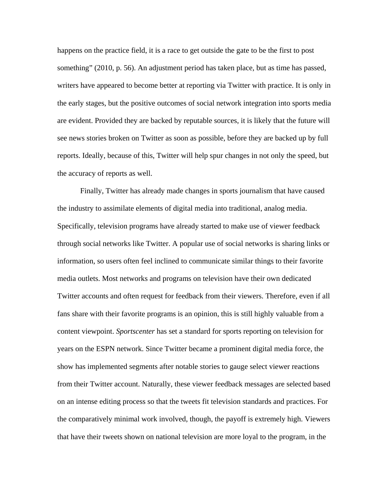happens on the practice field, it is a race to get outside the gate to be the first to post something" (2010, p. 56). An adjustment period has taken place, but as time has passed, writers have appeared to become better at reporting via Twitter with practice. It is only in the early stages, but the positive outcomes of social network integration into sports media are evident. Provided they are backed by reputable sources, it is likely that the future will see news stories broken on Twitter as soon as possible, before they are backed up by full reports. Ideally, because of this, Twitter will help spur changes in not only the speed, but the accuracy of reports as well.

 Finally, Twitter has already made changes in sports journalism that have caused the industry to assimilate elements of digital media into traditional, analog media. Specifically, television programs have already started to make use of viewer feedback through social networks like Twitter. A popular use of social networks is sharing links or information, so users often feel inclined to communicate similar things to their favorite media outlets. Most networks and programs on television have their own dedicated Twitter accounts and often request for feedback from their viewers. Therefore, even if all fans share with their favorite programs is an opinion, this is still highly valuable from a content viewpoint. *Sportscenter* has set a standard for sports reporting on television for years on the ESPN network. Since Twitter became a prominent digital media force, the show has implemented segments after notable stories to gauge select viewer reactions from their Twitter account. Naturally, these viewer feedback messages are selected based on an intense editing process so that the tweets fit television standards and practices. For the comparatively minimal work involved, though, the payoff is extremely high. Viewers that have their tweets shown on national television are more loyal to the program, in the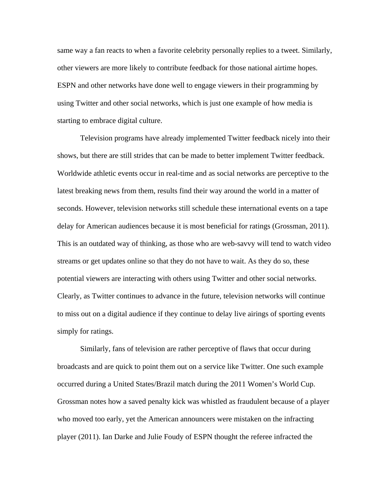same way a fan reacts to when a favorite celebrity personally replies to a tweet. Similarly, other viewers are more likely to contribute feedback for those national airtime hopes. ESPN and other networks have done well to engage viewers in their programming by using Twitter and other social networks, which is just one example of how media is starting to embrace digital culture.

 Television programs have already implemented Twitter feedback nicely into their shows, but there are still strides that can be made to better implement Twitter feedback. Worldwide athletic events occur in real-time and as social networks are perceptive to the latest breaking news from them, results find their way around the world in a matter of seconds. However, television networks still schedule these international events on a tape delay for American audiences because it is most beneficial for ratings (Grossman, 2011). This is an outdated way of thinking, as those who are web-savvy will tend to watch video streams or get updates online so that they do not have to wait. As they do so, these potential viewers are interacting with others using Twitter and other social networks. Clearly, as Twitter continues to advance in the future, television networks will continue to miss out on a digital audience if they continue to delay live airings of sporting events simply for ratings.

Similarly, fans of television are rather perceptive of flaws that occur during broadcasts and are quick to point them out on a service like Twitter. One such example occurred during a United States/Brazil match during the 2011 Women's World Cup. Grossman notes how a saved penalty kick was whistled as fraudulent because of a player who moved too early, yet the American announcers were mistaken on the infracting player (2011). Ian Darke and Julie Foudy of ESPN thought the referee infracted the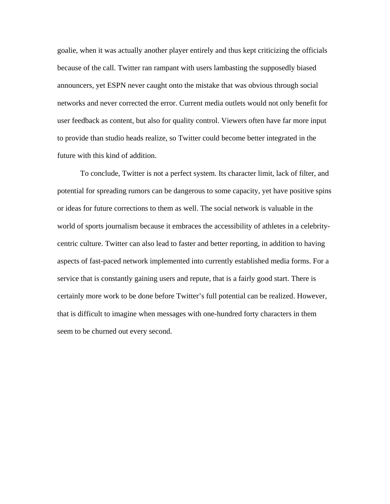goalie, when it was actually another player entirely and thus kept criticizing the officials because of the call. Twitter ran rampant with users lambasting the supposedly biased announcers, yet ESPN never caught onto the mistake that was obvious through social networks and never corrected the error. Current media outlets would not only benefit for user feedback as content, but also for quality control. Viewers often have far more input to provide than studio heads realize, so Twitter could become better integrated in the future with this kind of addition.

 To conclude, Twitter is not a perfect system. Its character limit, lack of filter, and potential for spreading rumors can be dangerous to some capacity, yet have positive spins or ideas for future corrections to them as well. The social network is valuable in the world of sports journalism because it embraces the accessibility of athletes in a celebritycentric culture. Twitter can also lead to faster and better reporting, in addition to having aspects of fast-paced network implemented into currently established media forms. For a service that is constantly gaining users and repute, that is a fairly good start. There is certainly more work to be done before Twitter's full potential can be realized. However, that is difficult to imagine when messages with one-hundred forty characters in them seem to be churned out every second.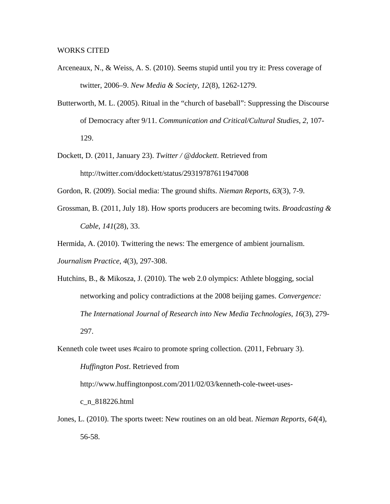- Arceneaux, N., & Weiss, A. S. (2010). Seems stupid until you try it: Press coverage of twitter, 2006–9. *New Media & Society*, *12*(8), 1262-1279.
- Butterworth, M. L. (2005). Ritual in the "church of baseball": Suppressing the Discourse of Democracy after 9/11. *Communication and Critical/Cultural Studies*, *2*, 107- 129.
- Dockett, D. (2011, January 23). *Twitter / @ddockett*. Retrieved from http://twitter.com/ddockett/status/29319787611947008
- Gordon, R. (2009). Social media: The ground shifts. *Nieman Reports*, *63*(3), 7-9.
- Grossman, B. (2011, July 18). How sports producers are becoming twits. *Broadcasting & Cable*, *141*(28), 33.

Hermida, A. (2010). Twittering the news: The emergence of ambient journalism. *Journalism Practice*, *4*(3), 297-308.

Hutchins, B., & Mikosza, J. (2010). The web 2.0 olympics: Athlete blogging, social networking and policy contradictions at the 2008 beijing games. *Convergence: The International Journal of Research into New Media Technologies*, *16*(3), 279- 297.

Kenneth cole tweet uses #cairo to promote spring collection. (2011, February 3). *Huffington Post*. Retrieved from http://www.huffingtonpost.com/2011/02/03/kenneth-cole-tweet-usesc\_n\_818226.html

Jones, L. (2010). The sports tweet: New routines on an old beat. *Nieman Reports*, *64*(4), 56-58.